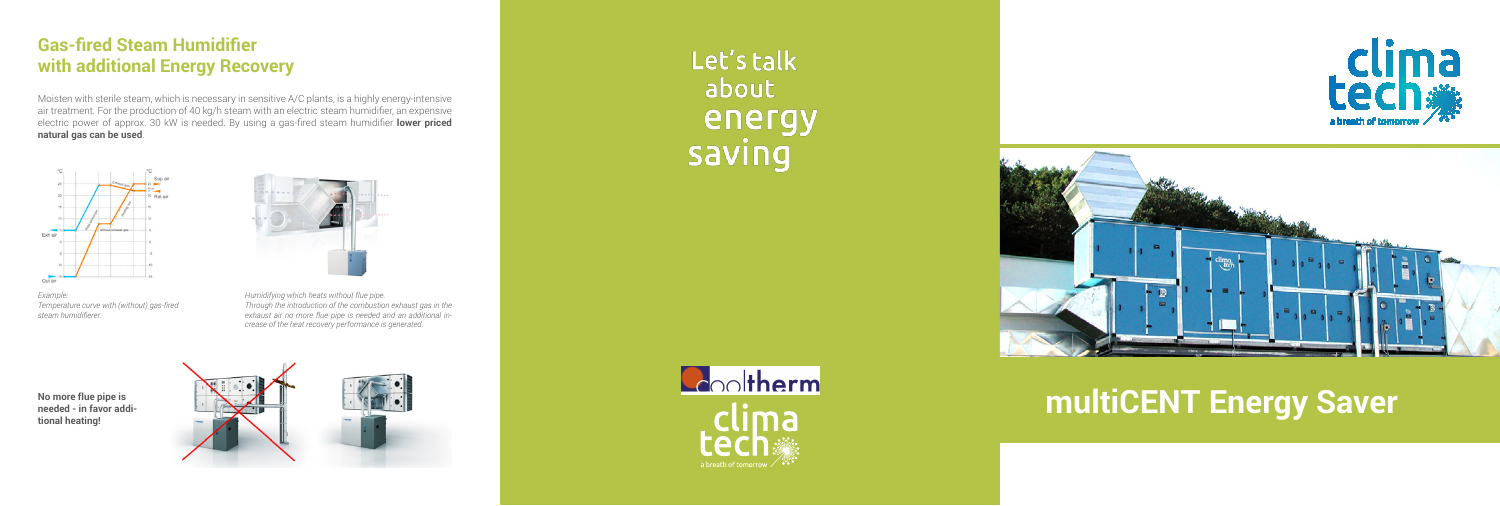# **multiCENT Energy Saver**



## **Gas-fired Steam Humidifier with additional Energy Recovery**

Moisten with sterile steam, which is necessary in sensitive A/C plants, is a highly energy-intensive air treatment. For the production of 40 kg/h steam with an electric steam humidifier, an expensive electric power of approx. 30 kW is needed. By using a gas-fired steam humidifier **lower priced natural gas can be used**.



*Example: Temperature curve with (without) gas-fired steam humidifierer.*

**No more flue pipe is needed - in favor additional heating!**





Let's talk about energy saving